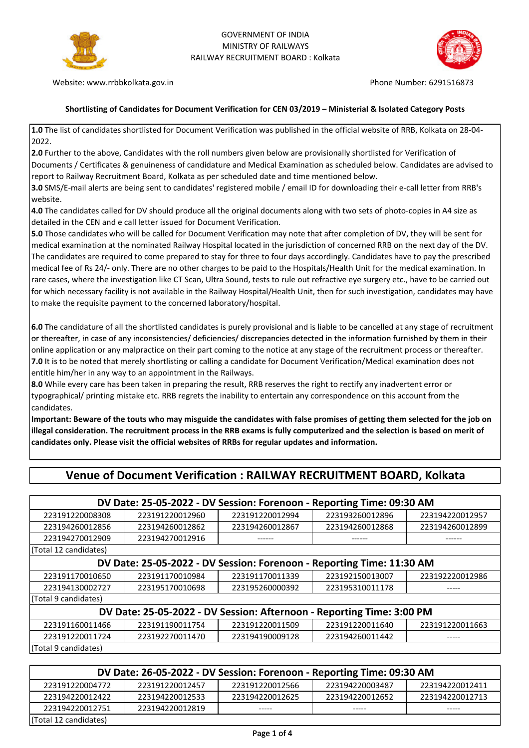



Website: www.rrbbkolkata.gov.in example and the example of the Phone Number: 6291516873

## **Shortlisting of Candidates for Document Verification for CEN 03/2019 – Ministerial & Isolated Category Posts**

**1.0** The list of candidates shortlisted for Document Verification was published in the official website of RRB, Kolkata on 28-04- 2022.

**2.0** Further to the above, Candidates with the roll numbers given below are provisionally shortlisted for Verification of Documents / Certificates & genuineness of candidature and Medical Examination as scheduled below. Candidates are advised to report to Railway Recruitment Board, Kolkata as per scheduled date and time mentioned below.

**3.0** SMS/E-mail alerts are being sent to candidates' registered mobile / email ID for downloading their e-call letter from RRB's website.

**4.0** The candidates called for DV should produce all the original documents along with two sets of photo-copies in A4 size as detailed in the CEN and e call letter issued for Document Verification.

**5.0** Those candidates who will be called for Document Verification may note that after completion of DV, they will be sent for medical examination at the nominated Railway Hospital located in the jurisdiction of concerned RRB on the next day of the DV. The candidates are required to come prepared to stay for three to four days accordingly. Candidates have to pay the prescribed medical fee of Rs 24/- only. There are no other charges to be paid to the Hospitals/Health Unit for the medical examination. In rare cases, where the investigation like CT Scan, Ultra Sound, tests to rule out refractive eye surgery etc., have to be carried out for which necessary facility is not available in the Railway Hospital/Health Unit, then for such investigation, candidates may have to make the requisite payment to the concerned laboratory/hospital.

**6.0** The candidature of all the shortlisted candidates is purely provisional and is liable to be cancelled at any stage of recruitment or thereafter, in case of any inconsistencies/ deficiencies/ discrepancies detected in the information furnished by them in their online application or any malpractice on their part coming to the notice at any stage of the recruitment process or thereafter. **7.0** It is to be noted that merely shortlisting or calling a candidate for Document Verification/Medical examination does not entitle him/her in any way to an appointment in the Railways.

**8.0** While every care has been taken in preparing the result, RRB reserves the right to rectify any inadvertent error or typographical/ printing mistake etc. RRB regrets the inability to entertain any correspondence on this account from the candidates.

**Important: Beware of the touts who may misguide the candidates with false promises of getting them selected for the job on illegal consideration. The recruitment process in the RRB exams is fully computerized and the selection is based on merit of candidates only. Please visit the official websites of RRBs for regular updates and information.**

| DV Date: 25-05-2022 - DV Session: Forenoon - Reporting Time: 09:30 AM |                 |                 |                 |                 |  |
|-----------------------------------------------------------------------|-----------------|-----------------|-----------------|-----------------|--|
| 223191220008308                                                       | 223191220012960 | 223191220012994 | 223193260012896 | 223194220012957 |  |
| 223194260012856                                                       | 223194260012862 | 223194260012867 | 223194260012868 | 223194260012899 |  |
| 223194270012909                                                       | 223194270012916 |                 |                 |                 |  |
| (Total 12 candidates)                                                 |                 |                 |                 |                 |  |
| DV Date: 25-05-2022 - DV Session: Forenoon - Reporting Time: 11:30 AM |                 |                 |                 |                 |  |
| 223191170010650                                                       | 223191170010984 | 223191170011339 | 223192150013007 | 223192220012986 |  |
| 223194130002727                                                       | 223195170010698 | 223195260000392 | 223195310011178 | -----           |  |
| (Total 9 candidates)                                                  |                 |                 |                 |                 |  |
| DV Date: 25-05-2022 - DV Session: Afternoon - Reporting Time: 3:00 PM |                 |                 |                 |                 |  |
| 223191160011466                                                       | 223191190011754 | 223191220011509 | 223191220011640 | 223191220011663 |  |
| 223191220011724                                                       | 223192270011470 | 223194190009128 | 223194260011442 | -----           |  |
| (Total 9 candidates)                                                  |                 |                 |                 |                 |  |

## **Venue of Document Verification : RAILWAY RECRUITMENT BOARD, Kolkata**

| DV Date: 26-05-2022 - DV Session: Forenoon - Reporting Time: 09:30 AM                       |                 |                 |                 |                 |  |
|---------------------------------------------------------------------------------------------|-----------------|-----------------|-----------------|-----------------|--|
| 223191220012566<br>223191220012457<br>223194220012411<br>223194220003487<br>223191220004772 |                 |                 |                 |                 |  |
| 223194220012422                                                                             | 223194220012533 | 223194220012625 | 223194220012652 | 223194220012713 |  |
| 223194220012751                                                                             | 223194220012819 | -----           | -----           | -----           |  |
| (Total 12 candidates)                                                                       |                 |                 |                 |                 |  |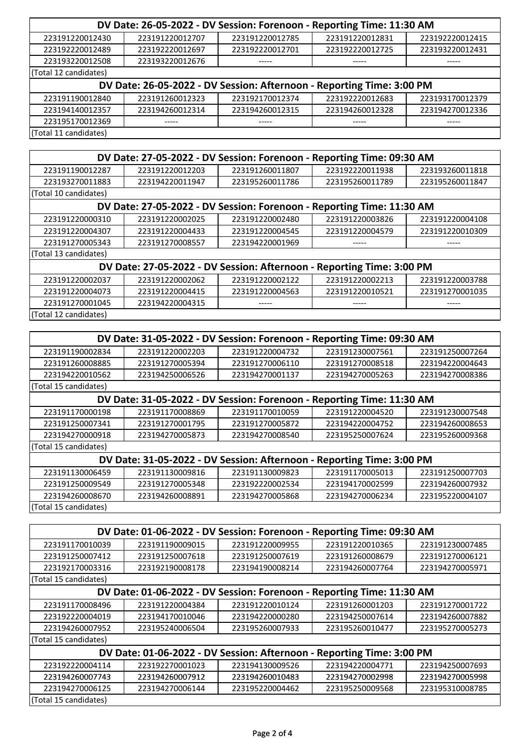| DV Date: 26-05-2022 - DV Session: Forenoon - Reporting Time: 11:30 AM |                 |                 |                 |                 |  |  |
|-----------------------------------------------------------------------|-----------------|-----------------|-----------------|-----------------|--|--|
| 223191220012430                                                       | 223191220012707 | 223191220012785 | 223191220012831 | 223192220012415 |  |  |
| 223192220012489                                                       | 223192220012697 | 223192220012701 | 223192220012725 | 223193220012431 |  |  |
| 223193220012508                                                       | 223193220012676 | -----           | -----           | -----           |  |  |
| (Total 12 candidates)                                                 |                 |                 |                 |                 |  |  |
| DV Date: 26-05-2022 - DV Session: Afternoon - Reporting Time: 3:00 PM |                 |                 |                 |                 |  |  |
| 223191190012840                                                       | 223191260012323 | 223192170012374 | 223192220012683 | 223193170012379 |  |  |
| 223194140012357                                                       | 223194260012314 | 223194260012315 | 223194260012328 | 223194270012336 |  |  |
| 223195170012369                                                       | -----           | -----           | -----           | -----           |  |  |
| (Total 11 candidates)                                                 |                 |                 |                 |                 |  |  |

| DV Date: 27-05-2022 - DV Session: Forenoon - Reporting Time: 09:30 AM |                                                                       |                 |                 |                 |  |
|-----------------------------------------------------------------------|-----------------------------------------------------------------------|-----------------|-----------------|-----------------|--|
| 223191190012287                                                       | 223191220012203                                                       | 223191260011807 | 223192220011938 | 223193260011818 |  |
| 223193270011883                                                       | 223194220011947                                                       | 223195260011786 | 223195260011789 | 223195260011847 |  |
| (Total 10 candidates)                                                 |                                                                       |                 |                 |                 |  |
|                                                                       | DV Date: 27-05-2022 - DV Session: Forenoon - Reporting Time: 11:30 AM |                 |                 |                 |  |
| 223191220000310                                                       | 223191220002025                                                       | 223191220002480 | 223191220003826 | 223191220004108 |  |
| 223191220004307                                                       | 223191220004433                                                       | 223191220004545 | 223191220004579 | 223191220010309 |  |
| 223191270005343                                                       | 223191270008557                                                       | 223194220001969 |                 |                 |  |
| (Total 13 candidates)                                                 |                                                                       |                 |                 |                 |  |
| DV Date: 27-05-2022 - DV Session: Afternoon - Reporting Time: 3:00 PM |                                                                       |                 |                 |                 |  |
| 223191220002037                                                       | 223191220002062                                                       | 223191220002122 | 223191220002213 | 223191220003788 |  |
| 223191220004073                                                       | 223191220004415                                                       | 223191220004563 | 223191220010521 | 223191270001035 |  |
| 223191270001045                                                       | 223194220004315                                                       | -----           | -----           | -----           |  |
| (Total 12 candidates)                                                 |                                                                       |                 |                 |                 |  |

| DV Date: 31-05-2022 - DV Session: Forenoon - Reporting Time: 09:30 AM |                                                                       |                 |                 |                 |  |  |
|-----------------------------------------------------------------------|-----------------------------------------------------------------------|-----------------|-----------------|-----------------|--|--|
| 223191190002834                                                       | 223191220002203                                                       | 223191220004732 | 223191230007561 | 223191250007264 |  |  |
| 223191260008885                                                       | 223191270005394                                                       | 223191270006110 | 223191270008518 | 223194220004643 |  |  |
| 223194220010562                                                       | 223194250006526                                                       | 223194270001137 | 223194270005263 | 223194270008386 |  |  |
| (Total 15 candidates)                                                 |                                                                       |                 |                 |                 |  |  |
|                                                                       | DV Date: 31-05-2022 - DV Session: Forenoon - Reporting Time: 11:30 AM |                 |                 |                 |  |  |
| 223191170000198                                                       | 223191170008869                                                       | 223191170010059 | 223191220004520 | 223191230007548 |  |  |
| 223191250007341                                                       | 223191270001795                                                       | 223191270005872 | 223194220004752 | 223194260008653 |  |  |
| 223194270000918                                                       | 223194270005873                                                       | 223194270008540 | 223195250007624 | 223195260009368 |  |  |
| (Total 15 candidates)                                                 |                                                                       |                 |                 |                 |  |  |
| DV Date: 31-05-2022 - DV Session: Afternoon - Reporting Time: 3:00 PM |                                                                       |                 |                 |                 |  |  |
| 223191130006459                                                       | 223191130009816                                                       | 223191130009823 | 223191170005013 | 223191250007703 |  |  |
| 223191250009549                                                       | 223191270005348                                                       | 223192220002534 | 223194170002599 | 223194260007932 |  |  |
| 223194260008670                                                       | 223194260008891                                                       | 223194270005868 | 223194270006234 | 223195220004107 |  |  |
| (Total 15 candidates)                                                 |                                                                       |                 |                 |                 |  |  |

| DV Date: 01-06-2022 - DV Session: Forenoon - Reporting Time: 09:30 AM |                                                                       |                 |                 |                 |  |  |
|-----------------------------------------------------------------------|-----------------------------------------------------------------------|-----------------|-----------------|-----------------|--|--|
| 223191170010039                                                       | 223191190009015                                                       | 223191220009955 | 223191220010365 | 223191230007485 |  |  |
| 223191250007412                                                       | 223191250007618                                                       | 223191250007619 | 223191260008679 | 223191270006121 |  |  |
| 223192170003316                                                       | 223192190008178                                                       | 223194190008214 | 223194260007764 | 223194270005971 |  |  |
| (Total 15 candidates)                                                 |                                                                       |                 |                 |                 |  |  |
|                                                                       | DV Date: 01-06-2022 - DV Session: Forenoon - Reporting Time: 11:30 AM |                 |                 |                 |  |  |
| 223191170008496                                                       | 223191220004384                                                       | 223191220010124 | 223191260001203 | 223191270001722 |  |  |
| 223192220004019                                                       | 223194170010046                                                       | 223194220000280 | 223194250007614 | 223194260007882 |  |  |
| 223194260007952                                                       | 223195240006504                                                       | 223195260007933 | 223195260010477 | 223195270005273 |  |  |
| (Total 15 candidates)                                                 |                                                                       |                 |                 |                 |  |  |
| DV Date: 01-06-2022 - DV Session: Afternoon - Reporting Time: 3:00 PM |                                                                       |                 |                 |                 |  |  |
| 223192220004114                                                       | 223192270001023                                                       | 223194130009526 | 223194220004771 | 223194250007693 |  |  |
| 223194260007743                                                       | 223194260007912                                                       | 223194260010483 | 223194270002998 | 223194270005998 |  |  |
| 223194270006125                                                       | 223194270006144                                                       | 223195220004462 | 223195250009568 | 223195310008785 |  |  |
| (Total 15 candidates)                                                 |                                                                       |                 |                 |                 |  |  |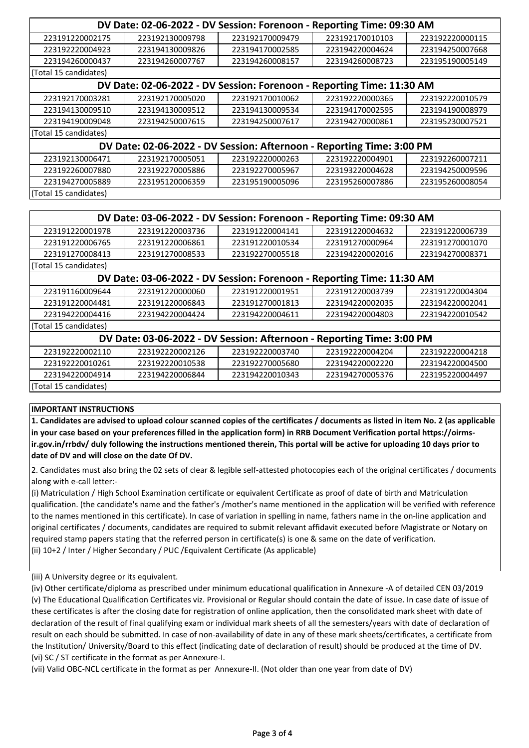| DV Date: 02-06-2022 - DV Session: Forenoon - Reporting Time: 09:30 AM |                                                                       |                 |                 |                 |  |
|-----------------------------------------------------------------------|-----------------------------------------------------------------------|-----------------|-----------------|-----------------|--|
| 223191220002175                                                       | 223192130009798                                                       | 223192170009479 | 223192170010103 | 223192220000115 |  |
| 223192220004923                                                       | 223194130009826                                                       | 223194170002585 | 223194220004624 | 223194250007668 |  |
| 223194260000437                                                       | 223194260007767                                                       | 223194260008157 | 223194260008723 | 223195190005149 |  |
| (Total 15 candidates)                                                 |                                                                       |                 |                 |                 |  |
|                                                                       | DV Date: 02-06-2022 - DV Session: Forenoon - Reporting Time: 11:30 AM |                 |                 |                 |  |
| 223192170003281                                                       | 223192170005020                                                       | 223192170010062 | 223192220000365 | 223192220010579 |  |
| 223194130009510                                                       | 223194130009512                                                       | 223194130009534 | 223194170002595 | 223194190008979 |  |
| 223194190009048                                                       | 223194250007615                                                       | 223194250007617 | 223194270000861 | 223195230007521 |  |
| (Total 15 candidates)                                                 |                                                                       |                 |                 |                 |  |
| DV Date: 02-06-2022 - DV Session: Afternoon - Reporting Time: 3:00 PM |                                                                       |                 |                 |                 |  |
| 223192130006471                                                       | 223192170005051                                                       | 223192220000263 | 223192220004901 | 223192260007211 |  |
| 223192260007880                                                       | 223192270005886                                                       | 223192270005967 | 223193220004628 | 223194250009596 |  |
| 223194270005889                                                       | 223195120006359                                                       | 223195190005096 | 223195260007886 | 223195260008054 |  |
| (Total 15 candidates)                                                 |                                                                       |                 |                 |                 |  |

| DV Date: 03-06-2022 - DV Session: Forenoon - Reporting Time: 09:30 AM |                                                                       |                 |                 |                 |  |  |
|-----------------------------------------------------------------------|-----------------------------------------------------------------------|-----------------|-----------------|-----------------|--|--|
| 223191220001978                                                       | 223191220003736                                                       | 223191220004141 | 223191220004632 | 223191220006739 |  |  |
| 223191220006765                                                       | 223191220006861                                                       | 223191220010534 | 223191270000964 | 223191270001070 |  |  |
| 223191270008413                                                       | 223191270008533                                                       | 223192270005518 | 223194220002016 | 223194270008371 |  |  |
| (Total 15 candidates)                                                 |                                                                       |                 |                 |                 |  |  |
|                                                                       | DV Date: 03-06-2022 - DV Session: Forenoon - Reporting Time: 11:30 AM |                 |                 |                 |  |  |
| 223191160009644                                                       | 223191220000060                                                       | 223191220001951 | 223191220003739 | 223191220004304 |  |  |
| 223191220004481                                                       | 223191220006843                                                       | 223191270001813 | 223194220002035 | 223194220002041 |  |  |
| 223194220004416                                                       | 223194220004424                                                       | 223194220004611 | 223194220004803 | 223194220010542 |  |  |
| (Total 15 candidates)                                                 |                                                                       |                 |                 |                 |  |  |
| DV Date: 03-06-2022 - DV Session: Afternoon - Reporting Time: 3:00 PM |                                                                       |                 |                 |                 |  |  |
| 223192220002110                                                       | 223192220002126                                                       | 223192220003740 | 223192220004204 | 223192220004218 |  |  |
| 223192220010261                                                       | 223192220010538                                                       | 223192270005680 | 223194220002220 | 223194220004500 |  |  |
| 223194220004914                                                       | 223194220006844                                                       | 223194220010343 | 223194270005376 | 223195220004497 |  |  |
| (Total 15 candidates)                                                 |                                                                       |                 |                 |                 |  |  |

## **IMPORTANT INSTRUCTIONS**

**1. Candidates are advised to upload colour scanned copies of the certificates / documents as listed in item No. 2 (as applicable in your case based on your preferences filled in the application form) in RRB Document Verification portal https://oirmsir.gov.in/rrbdv/ duly following the instructions mentioned therein, This portal will be active for uploading 10 days prior to date of DV and will close on the date Of DV.**

2. Candidates must also bring the 02 sets of clear & legible self-attested photocopies each of the original certificates / documents along with e-call letter:-

(i) Matriculation / High School Examination certificate or equivalent Certificate as proof of date of birth and Matriculation qualification. (the candidate's name and the father's /mother's name mentioned in the application will be verified with reference to the names mentioned in this certificate). In case of variation in spelling in name, fathers name in the on-line application and original certificates / documents, candidates are required to submit relevant affidavit executed before Magistrate or Notary on required stamp papers stating that the referred person in certificate(s) is one & same on the date of verification. (ii) 10+2 / Inter / Higher Secondary / PUC /Equivalent Certificate (As applicable)

(iii) A University degree or its equivalent.

(iv) Other certificate/diploma as prescribed under minimum educational qualification in Annexure -A of detailed CEN 03/2019 (v) The Educational Qualification Certificates viz. Provisional or Regular should contain the date of issue. In case date of issue of these certificates is after the closing date for registration of online application, then the consolidated mark sheet with date of declaration of the result of final qualifying exam or individual mark sheets of all the semesters/years with date of declaration of result on each should be submitted. In case of non-availability of date in any of these mark sheets/certificates, a certificate from the Institution/ University/Board to this effect (indicating date of declaration of result) should be produced at the time of DV. (vi) SC / ST certificate in the format as per Annexure-I.

(vii) Valid OBC-NCL certificate in the format as per Annexure-II. (Not older than one year from date of DV)